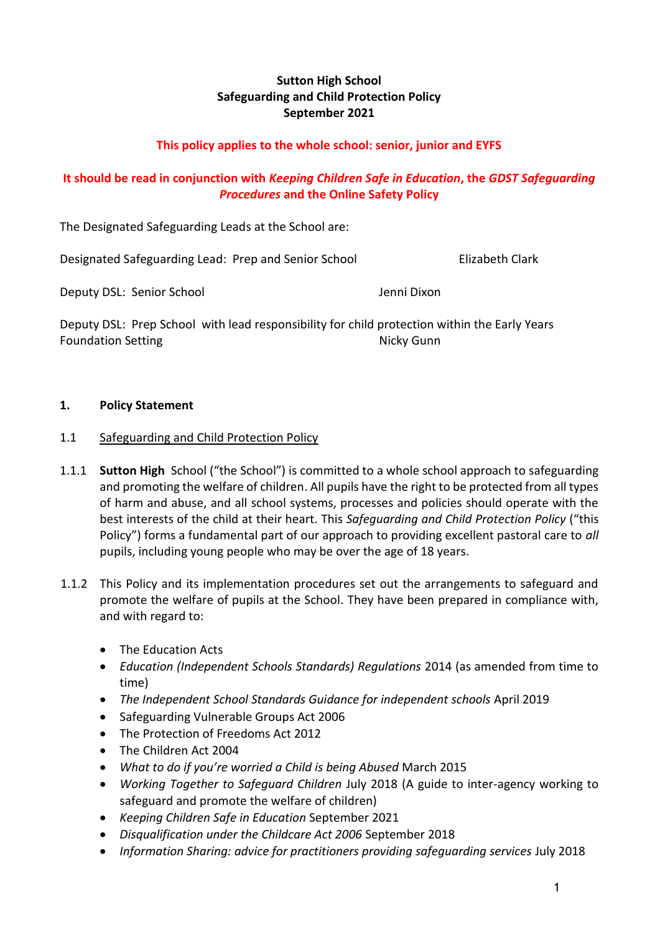# **Sutton High School Safeguarding and Child Protection Policy September 2021**

# **This policy applies to the whole school: senior, junior and EYFS**

# **It should be read in conjunction with** *Keeping Children Safe in Education***, the** *GDST Safeguarding Procedures* **and the Online Safety Policy**

The Designated Safeguarding Leads at the School are:

Designated Safeguarding Lead: Prep and Senior School Elizabeth Clark

Deputy DSL: Senior School Jenni Dixon

Deputy DSL: Prep School with lead responsibility for child protection within the Early Years Foundation Setting Nicky Gunn

### **1. Policy Statement**

# 1.1 Safeguarding and Child Protection Policy

- 1.1.1 **Sutton High** School ("the School") is committed to a whole school approach to safeguarding and promoting the welfare of children. All pupils have the right to be protected from all types of harm and abuse, and all school systems, processes and policies should operate with the best interests of the child at their heart. This *Safeguarding and Child Protection Policy* ("this Policy") forms a fundamental part of our approach to providing excellent pastoral care to *all*  pupils, including young people who may be over the age of 18 years.
- 1.1.2 This Policy and its implementation procedures set out the arrangements to safeguard and promote the welfare of pupils at the School. They have been prepared in compliance with, and with regard to:
	- The Education Acts
	- *Education (Independent Schools Standards) Regulations* 2014 (as amended from time to time)
	- *The Independent School Standards Guidance for independent schools* April 2019
	- Safeguarding Vulnerable Groups Act 2006
	- The Protection of Freedoms Act 2012
	- The Children Act 2004
	- *What to do if you're worried a Child is being Abused* March 2015
	- *Working Together to Safeguard Children* July 2018 (A guide to inter-agency working to safeguard and promote the welfare of children)
	- *Keeping Children Safe in Education* September 2021
	- *Disqualification under the Childcare Act 2006* September 2018
	- *Information Sharing: advice for practitioners providing safeguarding services* July 2018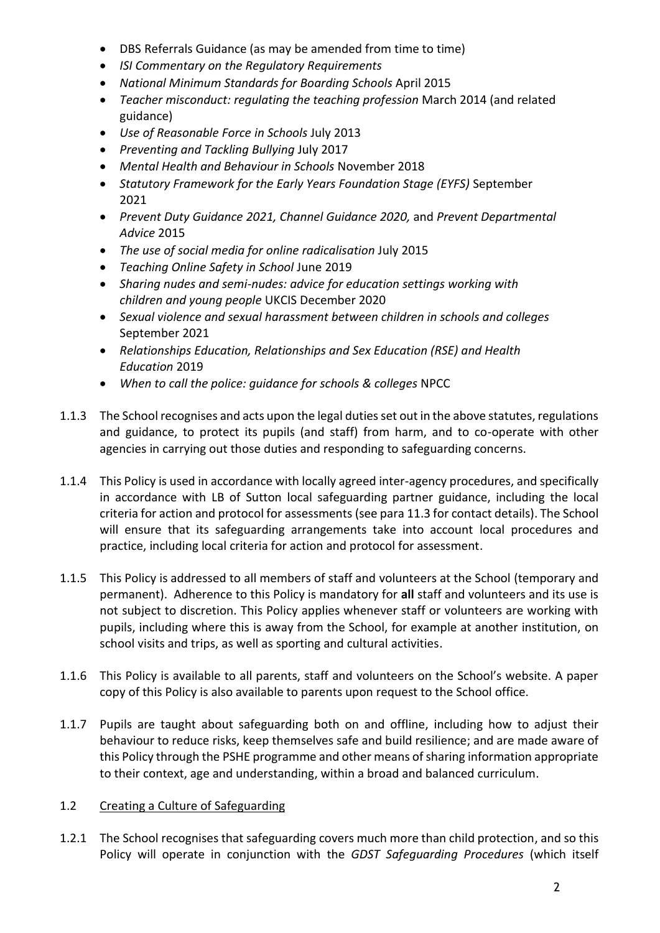- DBS Referrals Guidance (as may be amended from time to time)
- *ISI Commentary on the Regulatory Requirements*
- *National Minimum Standards for Boarding Schools* April 2015
- *Teacher misconduct: regulating the teaching profession* March 2014 (and related guidance)
- *Use of Reasonable Force in Schools* July 2013
- *Preventing and Tackling Bullying* July 2017
- *Mental Health and Behaviour in Schools* November 2018
- *Statutory Framework for the Early Years Foundation Stage (EYFS)* September 2021
- *Prevent Duty Guidance 2021, Channel Guidance 2020,* and *Prevent Departmental Advice* 2015
- *The use of social media for online radicalisation* July 2015
- *Teaching Online Safety in School* June 2019
- *Sharing nudes and semi-nudes: advice for education settings working with children and young people* UKCIS December 2020
- *Sexual violence and sexual harassment between children in schools and colleges*  September 2021
- *Relationships Education, Relationships and Sex Education (RSE) and Health Education* 2019
- *When to call the police: guidance for schools & colleges* NPCC
- 1.1.3 The School recognises and acts upon the legal duties set out in the above statutes, regulations and guidance, to protect its pupils (and staff) from harm, and to co-operate with other agencies in carrying out those duties and responding to safeguarding concerns.
- 1.1.4 This Policy is used in accordance with locally agreed inter-agency procedures, and specifically in accordance with LB of Sutton local safeguarding partner guidance, including the local criteria for action and protocol for assessments (see para 11.3 for contact details). The School will ensure that its safeguarding arrangements take into account local procedures and practice, including local criteria for action and protocol for assessment.
- 1.1.5 This Policy is addressed to all members of staff and volunteers at the School (temporary and permanent). Adherence to this Policy is mandatory for **all** staff and volunteers and its use is not subject to discretion. This Policy applies whenever staff or volunteers are working with pupils, including where this is away from the School, for example at another institution, on school visits and trips, as well as sporting and cultural activities.
- 1.1.6 This Policy is available to all parents, staff and volunteers on the School's website. A paper copy of this Policy is also available to parents upon request to the School office.
- 1.1.7 Pupils are taught about safeguarding both on and offline, including how to adjust their behaviour to reduce risks, keep themselves safe and build resilience; and are made aware of this Policy through the PSHE programme and other means of sharing information appropriate to their context, age and understanding, within a broad and balanced curriculum.

# 1.2 Creating a Culture of Safeguarding

1.2.1 The School recognises that safeguarding covers much more than child protection, and so this Policy will operate in conjunction with the *GDST Safeguarding Procedures* (which itself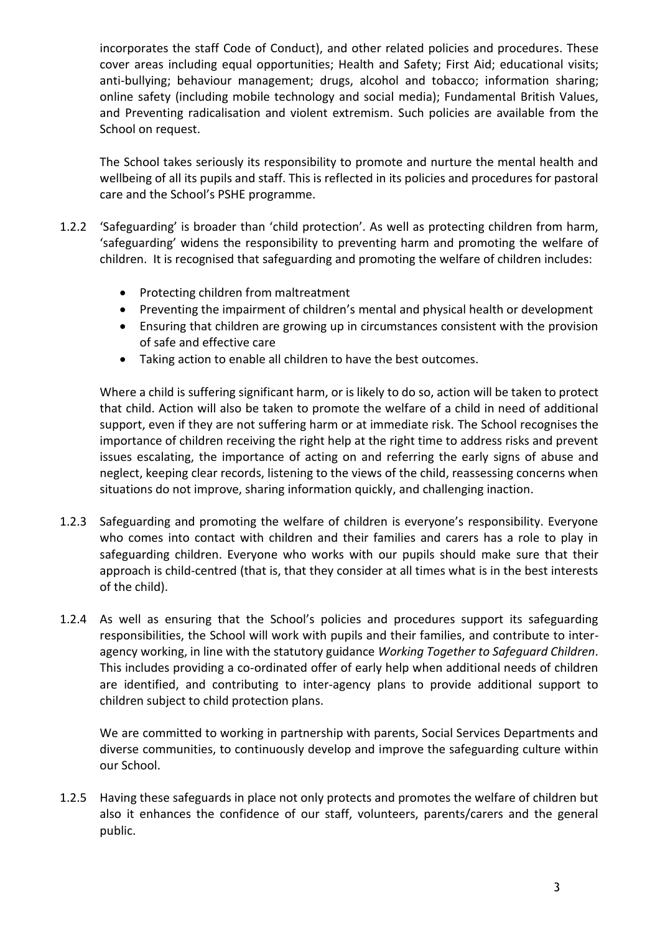incorporates the staff Code of Conduct), and other related policies and procedures. These cover areas including equal opportunities; Health and Safety; First Aid; educational visits; anti-bullying; behaviour management; drugs, alcohol and tobacco; information sharing; online safety (including mobile technology and social media); Fundamental British Values, and Preventing radicalisation and violent extremism. Such policies are available from the School on request.

The School takes seriously its responsibility to promote and nurture the mental health and wellbeing of all its pupils and staff. This is reflected in its policies and procedures for pastoral care and the School's PSHE programme.

- 1.2.2 'Safeguarding' is broader than 'child protection'. As well as protecting children from harm, 'safeguarding' widens the responsibility to preventing harm and promoting the welfare of children. It is recognised that safeguarding and promoting the welfare of children includes:
	- Protecting children from maltreatment
	- Preventing the impairment of children's mental and physical health or development
	- Ensuring that children are growing up in circumstances consistent with the provision of safe and effective care
	- Taking action to enable all children to have the best outcomes.

Where a child is suffering significant harm, or is likely to do so, action will be taken to protect that child. Action will also be taken to promote the welfare of a child in need of additional support, even if they are not suffering harm or at immediate risk. The School recognises the importance of children receiving the right help at the right time to address risks and prevent issues escalating, the importance of acting on and referring the early signs of abuse and neglect, keeping clear records, listening to the views of the child, reassessing concerns when situations do not improve, sharing information quickly, and challenging inaction.

- 1.2.3 Safeguarding and promoting the welfare of children is everyone's responsibility. Everyone who comes into contact with children and their families and carers has a role to play in safeguarding children. Everyone who works with our pupils should make sure that their approach is child-centred (that is, that they consider at all times what is in the best interests of the child).
- 1.2.4 As well as ensuring that the School's policies and procedures support its safeguarding responsibilities, the School will work with pupils and their families, and contribute to interagency working, in line with the statutory guidance *Working Together to Safeguard Children*. This includes providing a co-ordinated offer of early help when additional needs of children are identified, and contributing to inter-agency plans to provide additional support to children subject to child protection plans.

We are committed to working in partnership with parents, Social Services Departments and diverse communities, to continuously develop and improve the safeguarding culture within our School.

1.2.5 Having these safeguards in place not only protects and promotes the welfare of children but also it enhances the confidence of our staff, volunteers, parents/carers and the general public.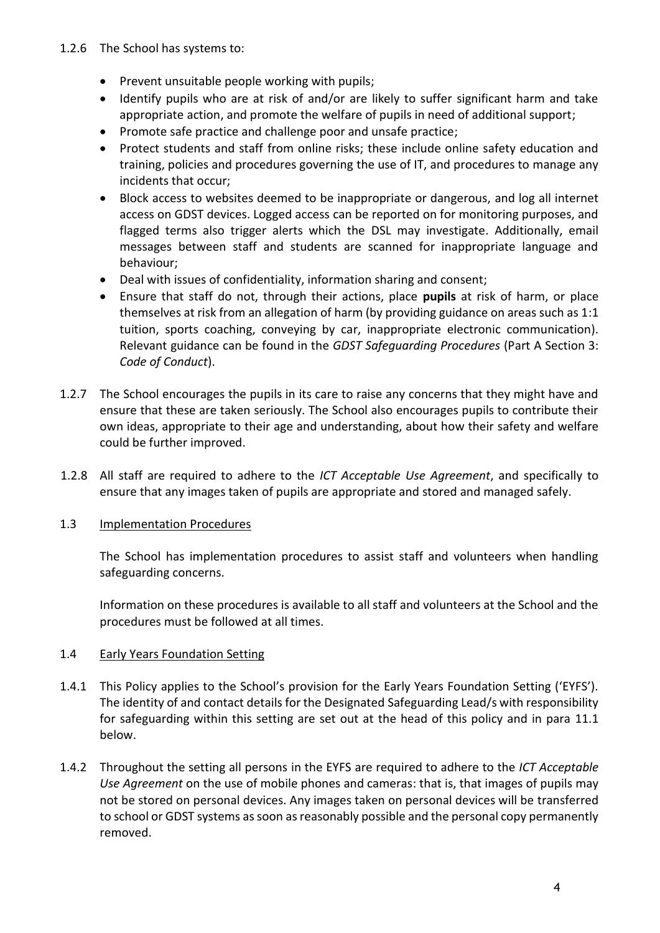- Prevent unsuitable people working with pupils;
- Identify pupils who are at risk of and/or are likely to suffer significant harm and take appropriate action, and promote the welfare of pupils in need of additional support;
- Promote safe practice and challenge poor and unsafe practice;
- Protect students and staff from online risks; these include online safety education and training, policies and procedures governing the use of IT, and procedures to manage any incidents that occur;
- Block access to websites deemed to be inappropriate or dangerous, and log all internet access on GDST devices. Logged access can be reported on for monitoring purposes, and flagged terms also trigger alerts which the DSL may investigate. Additionally, email messages between staff and students are scanned for inappropriate language and behaviour;
- Deal with issues of confidentiality, information sharing and consent;
- Ensure that staff do not, through their actions, place **pupils** at risk of harm, or place themselves at risk from an allegation of harm (by providing guidance on areas such as 1:1 tuition, sports coaching, conveying by car, inappropriate electronic communication). Relevant guidance can be found in the *GDST Safeguarding Procedures* (Part A Section 3: *Code of Conduct*).
- 1.2.7 The School encourages the pupils in its care to raise any concerns that they might have and ensure that these are taken seriously. The School also encourages pupils to contribute their own ideas, appropriate to their age and understanding, about how their safety and welfare could be further improved.
- 1.2.8 All staff are required to adhere to the *ICT Acceptable Use Agreement*, and specifically to ensure that any images taken of pupils are appropriate and stored and managed safely.

# 1.3 Implementation Procedures

The School has implementation procedures to assist staff and volunteers when handling safeguarding concerns.

Information on these procedures is available to all staff and volunteers at the School and the procedures must be followed at all times.

# 1.4 Early Years Foundation Setting

- 1.4.1 This Policy applies to the School's provision for the Early Years Foundation Setting ('EYFS'). The identity of and contact details for the Designated Safeguarding Lead/s with responsibility for safeguarding within this setting are set out at the head of this policy and in para 11.1 below.
- 1.4.2 Throughout the setting all persons in the EYFS are required to adhere to the *ICT Acceptable Use Agreement* on the use of mobile phones and cameras: that is, that images of pupils may not be stored on personal devices. Any images taken on personal devices will be transferred to school or GDST systems as soon as reasonably possible and the personal copy permanently removed.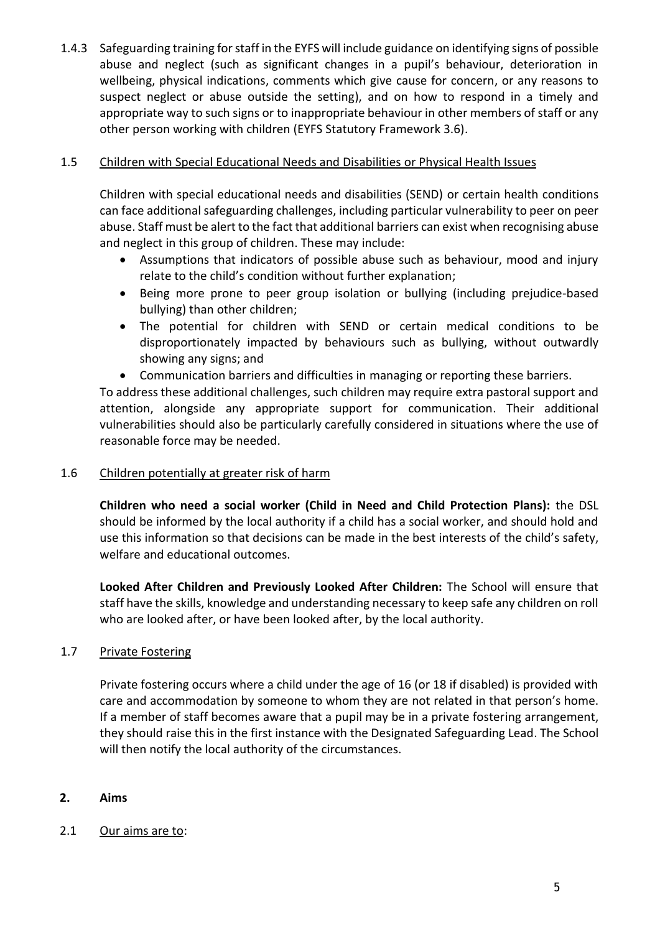1.4.3 Safeguarding training for staff in the EYFS will include guidance on identifying signs of possible abuse and neglect (such as significant changes in a pupil's behaviour, deterioration in wellbeing, physical indications, comments which give cause for concern, or any reasons to suspect neglect or abuse outside the setting), and on how to respond in a timely and appropriate way to such signs or to inappropriate behaviour in other members of staff or any other person working with children (EYFS Statutory Framework 3.6).

# 1.5 Children with Special Educational Needs and Disabilities or Physical Health Issues

Children with special educational needs and disabilities (SEND) or certain health conditions can face additional safeguarding challenges, including particular vulnerability to peer on peer abuse. Staff must be alert to the fact that additional barriers can exist when recognising abuse and neglect in this group of children. These may include:

- Assumptions that indicators of possible abuse such as behaviour, mood and injury relate to the child's condition without further explanation;
- Being more prone to peer group isolation or bullying (including prejudice-based bullying) than other children;
- The potential for children with SEND or certain medical conditions to be disproportionately impacted by behaviours such as bullying, without outwardly showing any signs; and
- Communication barriers and difficulties in managing or reporting these barriers.

To address these additional challenges, such children may require extra pastoral support and attention, alongside any appropriate support for communication. Their additional vulnerabilities should also be particularly carefully considered in situations where the use of reasonable force may be needed.

### 1.6 Children potentially at greater risk of harm

**Children who need a social worker (Child in Need and Child Protection Plans):** the DSL should be informed by the local authority if a child has a social worker, and should hold and use this information so that decisions can be made in the best interests of the child's safety, welfare and educational outcomes.

**Looked After Children and Previously Looked After Children:** The School will ensure that staff have the skills, knowledge and understanding necessary to keep safe any children on roll who are looked after, or have been looked after, by the local authority.

### 1.7 Private Fostering

Private fostering occurs where a child under the age of 16 (or 18 if disabled) is provided with care and accommodation by someone to whom they are not related in that person's home. If a member of staff becomes aware that a pupil may be in a private fostering arrangement, they should raise this in the first instance with the Designated Safeguarding Lead. The School will then notify the local authority of the circumstances.

#### **2. Aims**

# 2.1 Our aims are to: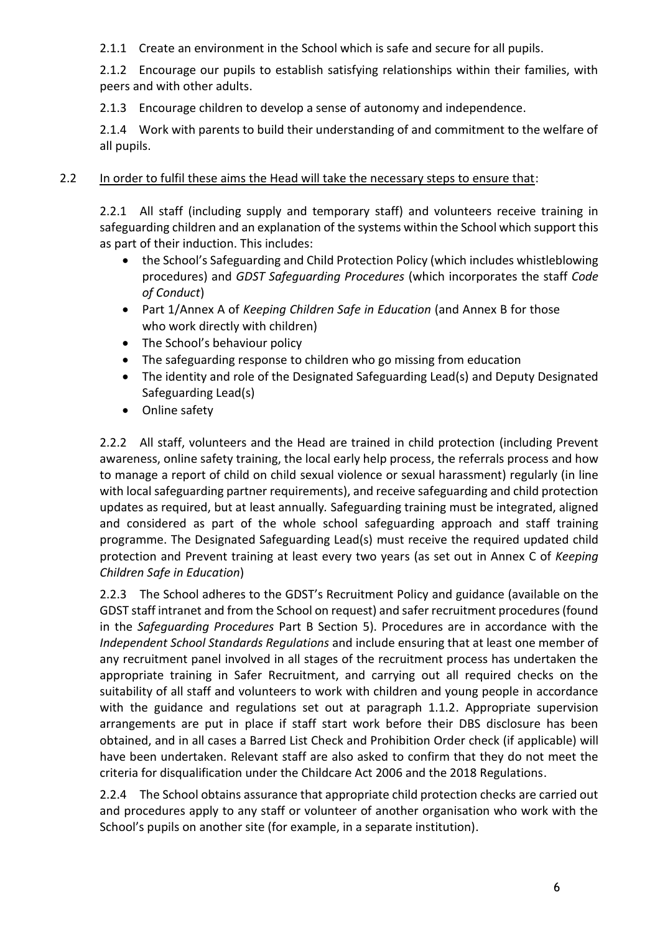2.1.1 Create an environment in the School which is safe and secure for all pupils.

2.1.2 Encourage our pupils to establish satisfying relationships within their families, with peers and with other adults.

2.1.3 Encourage children to develop a sense of autonomy and independence.

2.1.4 Work with parents to build their understanding of and commitment to the welfare of all pupils.

# 2.2 In order to fulfil these aims the Head will take the necessary steps to ensure that:

2.2.1 All staff (including supply and temporary staff) and volunteers receive training in safeguarding children and an explanation of the systems within the School which support this as part of their induction. This includes:

- the School's Safeguarding and Child Protection Policy (which includes whistleblowing procedures) and *GDST Safeguarding Procedures* (which incorporates the staff *Code of Conduct*)
- Part 1/Annex A of *Keeping Children Safe in Education* (and Annex B for those who work directly with children)
- The School's behaviour policy
- The safeguarding response to children who go missing from education
- The identity and role of the Designated Safeguarding Lead(s) and Deputy Designated Safeguarding Lead(s)
- Online safety

2.2.2 All staff, volunteers and the Head are trained in child protection (including Prevent awareness, online safety training, the local early help process, the referrals process and how to manage a report of child on child sexual violence or sexual harassment) regularly (in line with local safeguarding partner requirements), and receive safeguarding and child protection updates as required, but at least annually*.* Safeguarding training must be integrated, aligned and considered as part of the whole school safeguarding approach and staff training programme. The Designated Safeguarding Lead(s) must receive the required updated child protection and Prevent training at least every two years (as set out in Annex C of *Keeping Children Safe in Education*)

2.2.3 The School adheres to the GDST's Recruitment Policy and guidance (available on the GDST staff intranet and from the School on request) and safer recruitment procedures (found in the *Safeguarding Procedures* Part B Section 5). Procedures are in accordance with the *Independent School Standards Regulations* and include ensuring that at least one member of any recruitment panel involved in all stages of the recruitment process has undertaken the appropriate training in Safer Recruitment, and carrying out all required checks on the suitability of all staff and volunteers to work with children and young people in accordance with the guidance and regulations set out at paragraph 1.1.2. Appropriate supervision arrangements are put in place if staff start work before their DBS disclosure has been obtained, and in all cases a Barred List Check and Prohibition Order check (if applicable) will have been undertaken. Relevant staff are also asked to confirm that they do not meet the criteria for disqualification under the Childcare Act 2006 and the 2018 Regulations.

2.2.4 The School obtains assurance that appropriate child protection checks are carried out and procedures apply to any staff or volunteer of another organisation who work with the School's pupils on another site (for example, in a separate institution).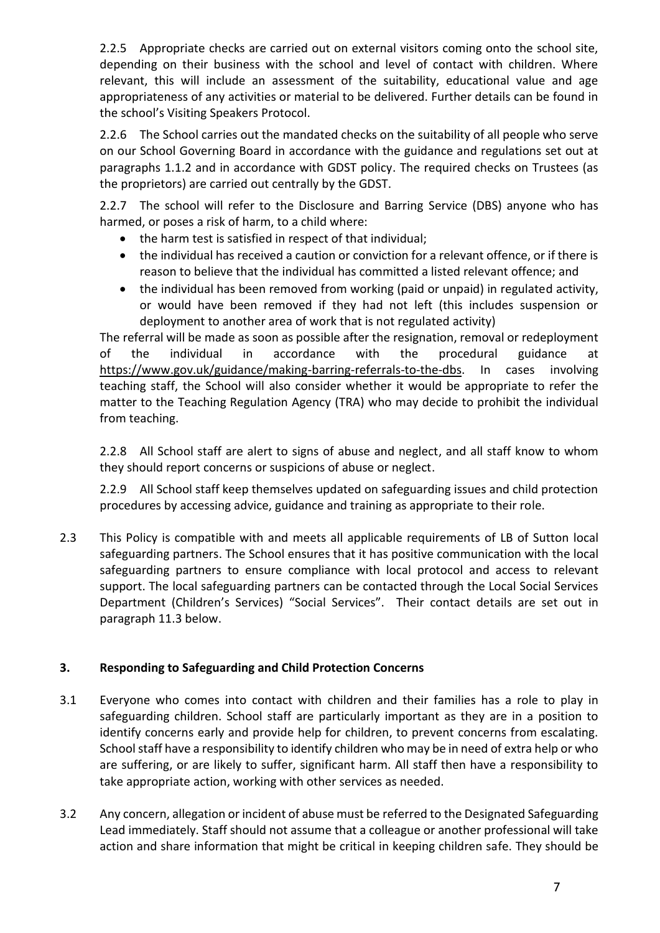2.2.5 Appropriate checks are carried out on external visitors coming onto the school site, depending on their business with the school and level of contact with children. Where relevant, this will include an assessment of the suitability, educational value and age appropriateness of any activities or material to be delivered. Further details can be found in the school's Visiting Speakers Protocol.

2.2.6 The School carries out the mandated checks on the suitability of all people who serve on our School Governing Board in accordance with the guidance and regulations set out at paragraphs 1.1.2 and in accordance with GDST policy. The required checks on Trustees (as the proprietors) are carried out centrally by the GDST.

2.2.7 The school will refer to the Disclosure and Barring Service (DBS) anyone who has harmed, or poses a risk of harm, to a child where:

- the harm test is satisfied in respect of that individual;
- the individual has received a caution or conviction for a relevant offence, or if there is reason to believe that the individual has committed a listed relevant offence; and
- the individual has been removed from working (paid or unpaid) in regulated activity, or would have been removed if they had not left (this includes suspension or deployment to another area of work that is not regulated activity)

The referral will be made as soon as possible after the resignation, removal or redeployment of the individual in accordance with the procedural guidance at [https://www.gov.uk/guidance/making-barring-referrals-to-the-dbs.](https://www.gov.uk/guidance/making-barring-referrals-to-the-dbs) In cases involving teaching staff, the School will also consider whether it would be appropriate to refer the matter to the Teaching Regulation Agency (TRA) who may decide to prohibit the individual from teaching.

2.2.8 All School staff are alert to signs of abuse and neglect, and all staff know to whom they should report concerns or suspicions of abuse or neglect.

2.2.9 All School staff keep themselves updated on safeguarding issues and child protection procedures by accessing advice, guidance and training as appropriate to their role.

2.3 This Policy is compatible with and meets all applicable requirements of LB of Sutton local safeguarding partners. The School ensures that it has positive communication with the local safeguarding partners to ensure compliance with local protocol and access to relevant support. The local safeguarding partners can be contacted through the Local Social Services Department (Children's Services) "Social Services". Their contact details are set out in paragraph 11.3 below.

# **3. Responding to Safeguarding and Child Protection Concerns**

- 3.1 Everyone who comes into contact with children and their families has a role to play in safeguarding children. School staff are particularly important as they are in a position to identify concerns early and provide help for children, to prevent concerns from escalating. School staff have a responsibility to identify children who may be in need of extra help or who are suffering, or are likely to suffer, significant harm. All staff then have a responsibility to take appropriate action, working with other services as needed.
- 3.2 Any concern, allegation or incident of abuse must be referred to the Designated Safeguarding Lead immediately. Staff should not assume that a colleague or another professional will take action and share information that might be critical in keeping children safe. They should be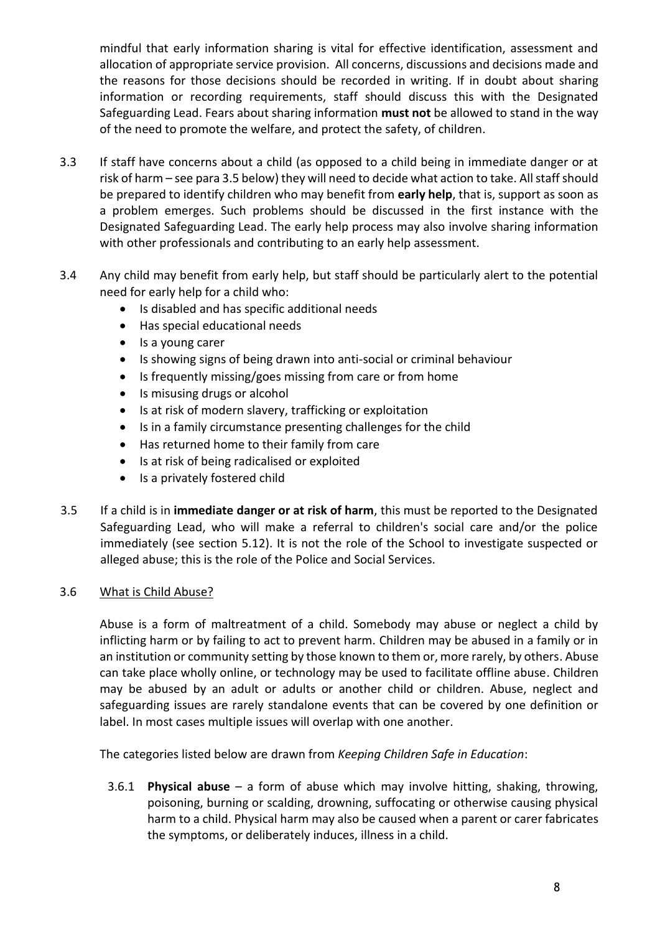mindful that early information sharing is vital for effective identification, assessment and allocation of appropriate service provision. All concerns, discussions and decisions made and the reasons for those decisions should be recorded in writing. If in doubt about sharing information or recording requirements, staff should discuss this with the Designated Safeguarding Lead. Fears about sharing information **must not** be allowed to stand in the way of the need to promote the welfare, and protect the safety, of children.

- 3.3 If staff have concerns about a child (as opposed to a child being in immediate danger or at risk of harm – see para 3.5 below) they will need to decide what action to take. All staff should be prepared to identify children who may benefit from **early help**, that is, support as soon as a problem emerges. Such problems should be discussed in the first instance with the Designated Safeguarding Lead. The early help process may also involve sharing information with other professionals and contributing to an early help assessment.
- 3.4 Any child may benefit from early help, but staff should be particularly alert to the potential need for early help for a child who:
	- Is disabled and has specific additional needs
	- Has special educational needs
	- Is a young carer
	- Is showing signs of being drawn into anti-social or criminal behaviour
	- Is frequently missing/goes missing from care or from home
	- Is misusing drugs or alcohol
	- Is at risk of modern slavery, trafficking or exploitation
	- Is in a family circumstance presenting challenges for the child
	- Has returned home to their family from care
	- Is at risk of being radicalised or exploited
	- Is a privately fostered child
- 3.5 If a child is in **immediate danger or at risk of harm**, this must be reported to the Designated Safeguarding Lead, who will make a referral to children's social care and/or the police immediately (see section 5.12). It is not the role of the School to investigate suspected or alleged abuse; this is the role of the Police and Social Services.

# 3.6 What is Child Abuse?

Abuse is a form of maltreatment of a child. Somebody may abuse or neglect a child by inflicting harm or by failing to act to prevent harm. Children may be abused in a family or in an institution or community setting by those known to them or, more rarely, by others. Abuse can take place wholly online, or technology may be used to facilitate offline abuse. Children may be abused by an adult or adults or another child or children. Abuse, neglect and safeguarding issues are rarely standalone events that can be covered by one definition or label. In most cases multiple issues will overlap with one another.

The categories listed below are drawn from *Keeping Children Safe in Education*:

3.6.1 **Physical abuse** – a form of abuse which may involve hitting, shaking, throwing, poisoning, burning or scalding, drowning, suffocating or otherwise causing physical harm to a child. Physical harm may also be caused when a parent or carer fabricates the symptoms, or deliberately induces, illness in a child.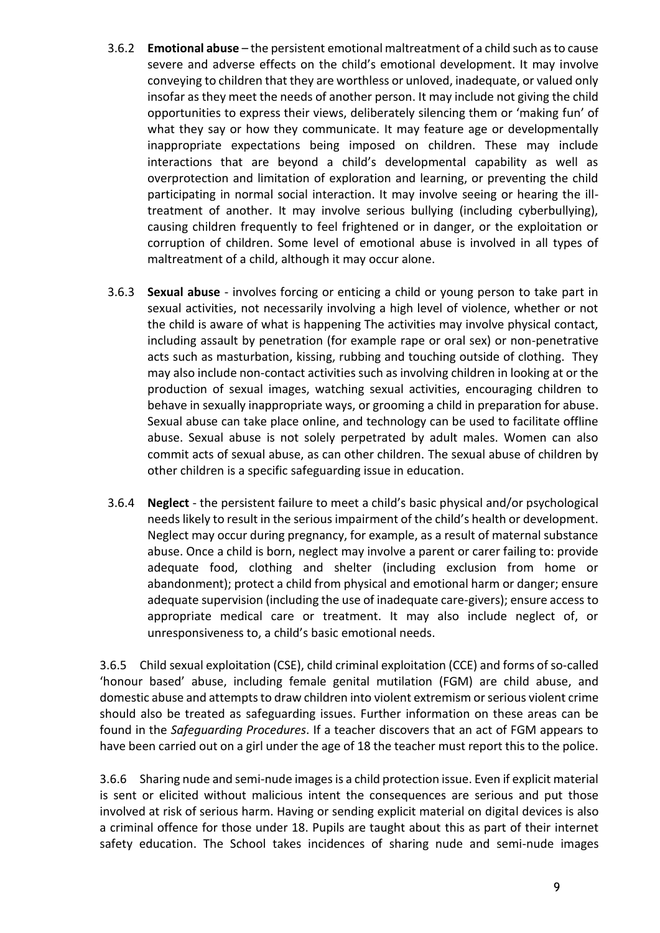- 3.6.2 **Emotional abuse** the persistent emotional maltreatment of a child such as to cause severe and adverse effects on the child's emotional development. It may involve conveying to children that they are worthless or unloved, inadequate, or valued only insofar as they meet the needs of another person. It may include not giving the child opportunities to express their views, deliberately silencing them or 'making fun' of what they say or how they communicate. It may feature age or developmentally inappropriate expectations being imposed on children. These may include interactions that are beyond a child's developmental capability as well as overprotection and limitation of exploration and learning, or preventing the child participating in normal social interaction. It may involve seeing or hearing the illtreatment of another. It may involve serious bullying (including cyberbullying), causing children frequently to feel frightened or in danger, or the exploitation or corruption of children. Some level of emotional abuse is involved in all types of maltreatment of a child, although it may occur alone.
- 3.6.3 **Sexual abuse** involves forcing or enticing a child or young person to take part in sexual activities, not necessarily involving a high level of violence, whether or not the child is aware of what is happening The activities may involve physical contact, including assault by penetration (for example rape or oral sex) or non-penetrative acts such as masturbation, kissing, rubbing and touching outside of clothing. They may also include non-contact activities such as involving children in looking at or the production of sexual images, watching sexual activities, encouraging children to behave in sexually inappropriate ways, or grooming a child in preparation for abuse. Sexual abuse can take place online, and technology can be used to facilitate offline abuse. Sexual abuse is not solely perpetrated by adult males. Women can also commit acts of sexual abuse, as can other children. The sexual abuse of children by other children is a specific safeguarding issue in education.
- 3.6.4 **Neglect** the persistent failure to meet a child's basic physical and/or psychological needs likely to result in the serious impairment of the child's health or development. Neglect may occur during pregnancy, for example, as a result of maternal substance abuse. Once a child is born, neglect may involve a parent or carer failing to: provide adequate food, clothing and shelter (including exclusion from home or abandonment); protect a child from physical and emotional harm or danger; ensure adequate supervision (including the use of inadequate care-givers); ensure access to appropriate medical care or treatment. It may also include neglect of, or unresponsiveness to, a child's basic emotional needs.

3.6.5 Child sexual exploitation (CSE), child criminal exploitation (CCE) and forms of so-called 'honour based' abuse, including female genital mutilation (FGM) are child abuse, and domestic abuse and attempts to draw children into violent extremism or serious violent crime should also be treated as safeguarding issues. Further information on these areas can be found in the *Safeguarding Procedures*. If a teacher discovers that an act of FGM appears to have been carried out on a girl under the age of 18 the teacher must report this to the police.

3.6.6 Sharing nude and semi-nude images is a child protection issue. Even if explicit material is sent or elicited without malicious intent the consequences are serious and put those involved at risk of serious harm. Having or sending explicit material on digital devices is also a criminal offence for those under 18. Pupils are taught about this as part of their internet safety education. The School takes incidences of sharing nude and semi-nude images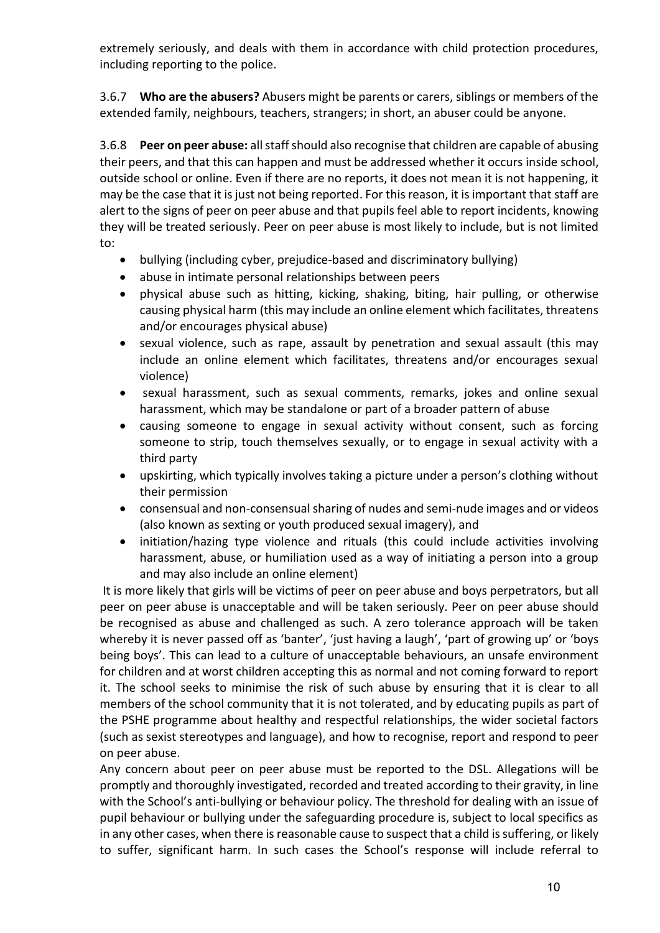extremely seriously, and deals with them in accordance with child protection procedures, including reporting to the police.

3.6.7 **Who are the abusers?** Abusers might be parents or carers, siblings or members of the extended family, neighbours, teachers, strangers; in short, an abuser could be anyone.

3.6.8 **Peer on peer abuse:** all staff should also recognise that children are capable of abusing their peers, and that this can happen and must be addressed whether it occurs inside school, outside school or online. Even if there are no reports, it does not mean it is not happening, it may be the case that it is just not being reported. For this reason, it is important that staff are alert to the signs of peer on peer abuse and that pupils feel able to report incidents, knowing they will be treated seriously. Peer on peer abuse is most likely to include, but is not limited to:

- bullying (including cyber, prejudice-based and discriminatory bullying)
- abuse in intimate personal relationships between peers
- physical abuse such as hitting, kicking, shaking, biting, hair pulling, or otherwise causing physical harm (this may include an online element which facilitates, threatens and/or encourages physical abuse)
- sexual violence, such as rape, assault by penetration and sexual assault (this may include an online element which facilitates, threatens and/or encourages sexual violence)
- sexual harassment, such as sexual comments, remarks, jokes and online sexual harassment, which may be standalone or part of a broader pattern of abuse
- causing someone to engage in sexual activity without consent, such as forcing someone to strip, touch themselves sexually, or to engage in sexual activity with a third party
- upskirting, which typically involves taking a picture under a person's clothing without their permission
- consensual and non-consensual sharing of nudes and semi-nude images and or videos (also known as sexting or youth produced sexual imagery), and
- initiation/hazing type violence and rituals (this could include activities involving harassment, abuse, or humiliation used as a way of initiating a person into a group and may also include an online element)

It is more likely that girls will be victims of peer on peer abuse and boys perpetrators, but all peer on peer abuse is unacceptable and will be taken seriously. Peer on peer abuse should be recognised as abuse and challenged as such. A zero tolerance approach will be taken whereby it is never passed off as 'banter', 'just having a laugh', 'part of growing up' or 'boys being boys'. This can lead to a culture of unacceptable behaviours, an unsafe environment for children and at worst children accepting this as normal and not coming forward to report it. The school seeks to minimise the risk of such abuse by ensuring that it is clear to all members of the school community that it is not tolerated, and by educating pupils as part of the PSHE programme about healthy and respectful relationships, the wider societal factors (such as sexist stereotypes and language), and how to recognise, report and respond to peer on peer abuse.

Any concern about peer on peer abuse must be reported to the DSL. Allegations will be promptly and thoroughly investigated, recorded and treated according to their gravity, in line with the School's anti-bullying or behaviour policy. The threshold for dealing with an issue of pupil behaviour or bullying under the safeguarding procedure is, subject to local specifics as in any other cases, when there is reasonable cause to suspect that a child is suffering, or likely to suffer, significant harm. In such cases the School's response will include referral to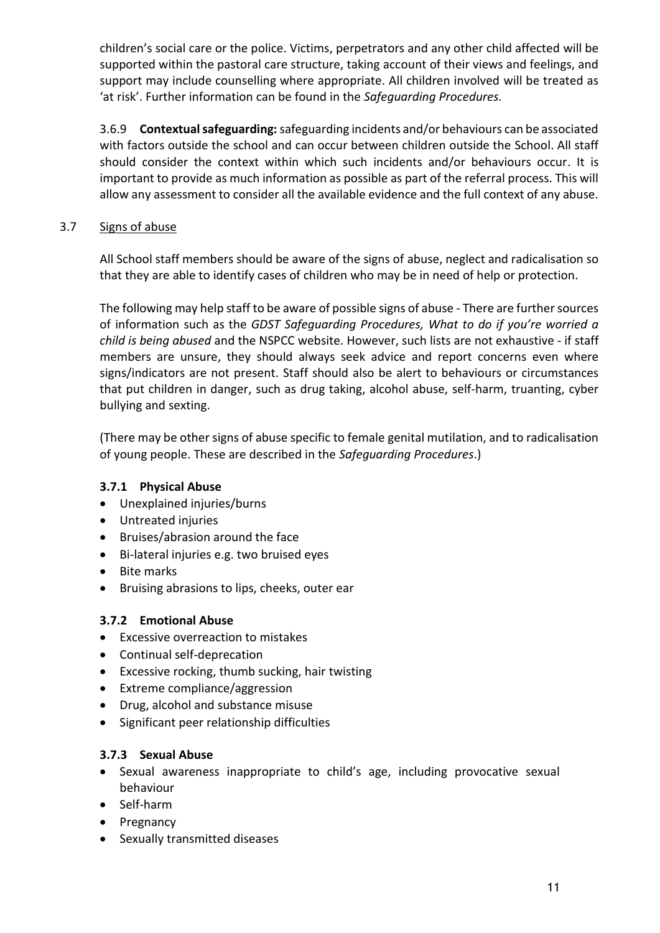children's social care or the police. Victims, perpetrators and any other child affected will be supported within the pastoral care structure, taking account of their views and feelings, and support may include counselling where appropriate. All children involved will be treated as 'at risk'. Further information can be found in the *Safeguarding Procedures.*

3.6.9 **Contextual safeguarding:**safeguarding incidents and/or behaviours can be associated with factors outside the school and can occur between children outside the School. All staff should consider the context within which such incidents and/or behaviours occur. It is important to provide as much information as possible as part of the referral process. This will allow any assessment to consider all the available evidence and the full context of any abuse.

# 3.7 Signs of abuse

All School staff members should be aware of the signs of abuse, neglect and radicalisation so that they are able to identify cases of children who may be in need of help or protection.

The following may help staff to be aware of possible signs of abuse - There are further sources of information such as the *GDST Safeguarding Procedures, What to do if you're worried a child is being abused* and the NSPCC website. However, such lists are not exhaustive - if staff members are unsure, they should always seek advice and report concerns even where signs/indicators are not present. Staff should also be alert to behaviours or circumstances that put children in danger, such as drug taking, alcohol abuse, self-harm, truanting, cyber bullying and sexting.

(There may be other signs of abuse specific to female genital mutilation, and to radicalisation of young people. These are described in the *Safeguarding Procedures*.)

# **3.7.1 Physical Abuse**

- Unexplained injuries/burns
- Untreated injuries
- Bruises/abrasion around the face
- Bi-lateral injuries e.g. two bruised eyes
- Bite marks
- Bruising abrasions to lips, cheeks, outer ear

# **3.7.2 Emotional Abuse**

- Excessive overreaction to mistakes
- Continual self-deprecation
- Excessive rocking, thumb sucking, hair twisting
- Extreme compliance/aggression
- Drug, alcohol and substance misuse
- Significant peer relationship difficulties

# **3.7.3 Sexual Abuse**

- Sexual awareness inappropriate to child's age, including provocative sexual behaviour
- Self-harm
- Pregnancy
- Sexually transmitted diseases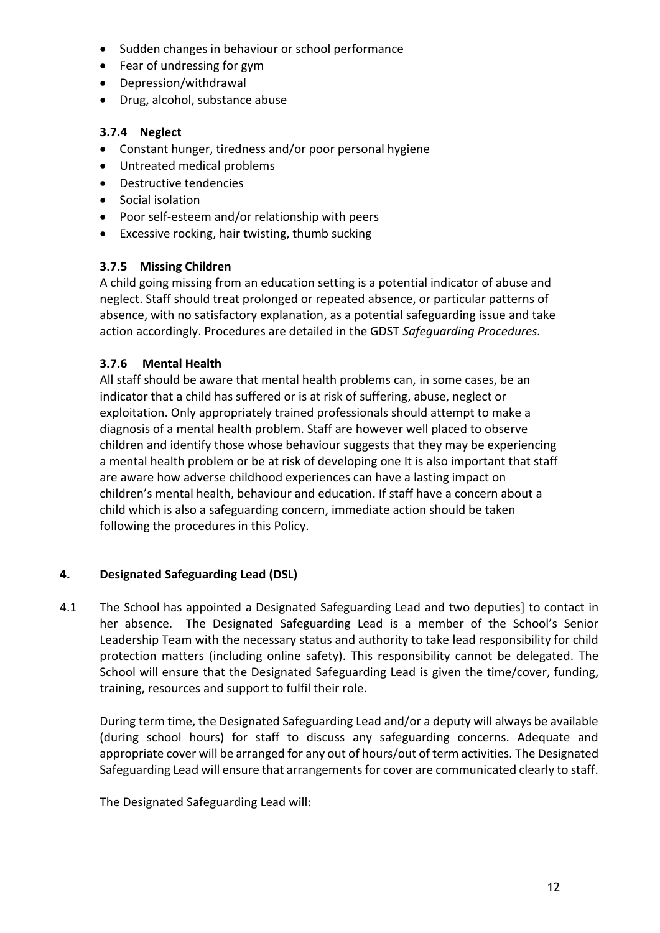- Sudden changes in behaviour or school performance
- Fear of undressing for gym
- Depression/withdrawal
- Drug, alcohol, substance abuse

# **3.7.4 Neglect**

- Constant hunger, tiredness and/or poor personal hygiene
- Untreated medical problems
- Destructive tendencies
- Social isolation
- Poor self-esteem and/or relationship with peers
- Excessive rocking, hair twisting, thumb sucking

# **3.7.5 Missing Children**

A child going missing from an education setting is a potential indicator of abuse and neglect. Staff should treat prolonged or repeated absence, or particular patterns of absence, with no satisfactory explanation, as a potential safeguarding issue and take action accordingly. Procedures are detailed in the GDST *Safeguarding Procedures.*

# **3.7.6 Mental Health**

All staff should be aware that mental health problems can, in some cases, be an indicator that a child has suffered or is at risk of suffering, abuse, neglect or exploitation. Only appropriately trained professionals should attempt to make a diagnosis of a mental health problem. Staff are however well placed to observe children and identify those whose behaviour suggests that they may be experiencing a mental health problem or be at risk of developing one It is also important that staff are aware how adverse childhood experiences can have a lasting impact on children's mental health, behaviour and education. If staff have a concern about a child which is also a safeguarding concern, immediate action should be taken following the procedures in this Policy.

# **4. Designated Safeguarding Lead (DSL)**

4.1 The School has appointed a Designated Safeguarding Lead and two deputies] to contact in her absence. The Designated Safeguarding Lead is a member of the School's Senior Leadership Team with the necessary status and authority to take lead responsibility for child protection matters (including online safety). This responsibility cannot be delegated. The School will ensure that the Designated Safeguarding Lead is given the time/cover, funding, training, resources and support to fulfil their role.

During term time, the Designated Safeguarding Lead and/or a deputy will always be available (during school hours) for staff to discuss any safeguarding concerns. Adequate and appropriate cover will be arranged for any out of hours/out of term activities. The Designated Safeguarding Lead will ensure that arrangements for cover are communicated clearly to staff.

The Designated Safeguarding Lead will: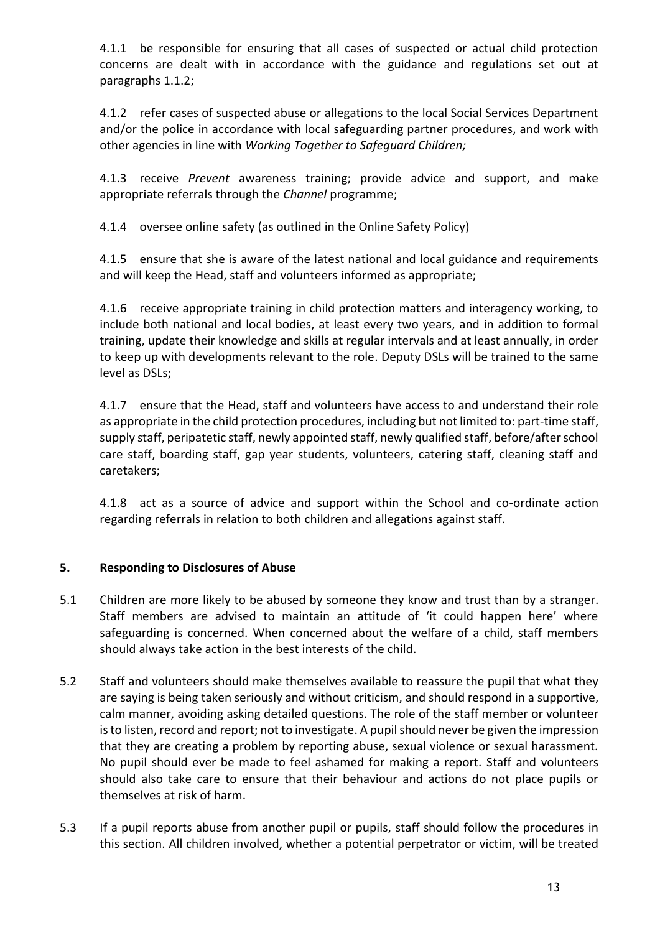4.1.1 be responsible for ensuring that all cases of suspected or actual child protection concerns are dealt with in accordance with the guidance and regulations set out at paragraphs 1.1.2;

4.1.2 refer cases of suspected abuse or allegations to the local Social Services Department and/or the police in accordance with local safeguarding partner procedures, and work with other agencies in line with *Working Together to Safeguard Children;*

4.1.3 receive *Prevent* awareness training; provide advice and support, and make appropriate referrals through the *Channel* programme;

4.1.4 oversee online safety (as outlined in the Online Safety Policy)

4.1.5 ensure that she is aware of the latest national and local guidance and requirements and will keep the Head, staff and volunteers informed as appropriate;

4.1.6 receive appropriate training in child protection matters and interagency working, to include both national and local bodies, at least every two years, and in addition to formal training, update their knowledge and skills at regular intervals and at least annually, in order to keep up with developments relevant to the role. Deputy DSLs will be trained to the same level as DSLs;

4.1.7 ensure that the Head, staff and volunteers have access to and understand their role as appropriate in the child protection procedures, including but not limited to: part-time staff, supply staff, peripatetic staff, newly appointed staff, newly qualified staff, before/after school care staff, boarding staff, gap year students, volunteers, catering staff, cleaning staff and caretakers;

4.1.8 act as a source of advice and support within the School and co-ordinate action regarding referrals in relation to both children and allegations against staff.

# **5. Responding to Disclosures of Abuse**

- 5.1 Children are more likely to be abused by someone they know and trust than by a stranger. Staff members are advised to maintain an attitude of 'it could happen here' where safeguarding is concerned. When concerned about the welfare of a child, staff members should always take action in the best interests of the child.
- 5.2 Staff and volunteers should make themselves available to reassure the pupil that what they are saying is being taken seriously and without criticism, and should respond in a supportive, calm manner, avoiding asking detailed questions. The role of the staff member or volunteer is to listen, record and report; not to investigate. A pupil should never be given the impression that they are creating a problem by reporting abuse, sexual violence or sexual harassment. No pupil should ever be made to feel ashamed for making a report. Staff and volunteers should also take care to ensure that their behaviour and actions do not place pupils or themselves at risk of harm.
- 5.3 If a pupil reports abuse from another pupil or pupils, staff should follow the procedures in this section. All children involved, whether a potential perpetrator or victim, will be treated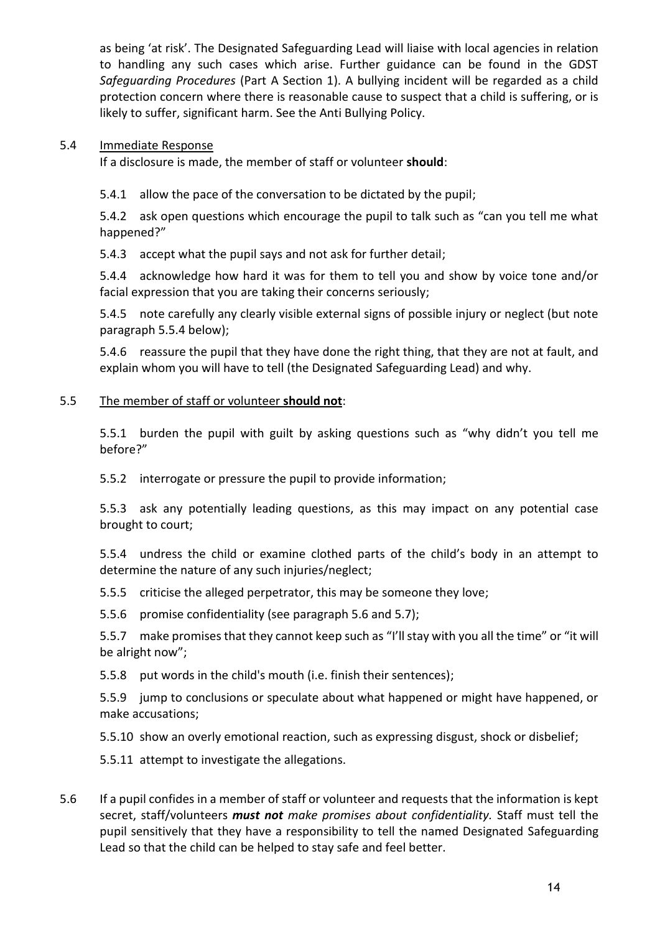as being 'at risk'. The Designated Safeguarding Lead will liaise with local agencies in relation to handling any such cases which arise. Further guidance can be found in the GDST *Safeguarding Procedures* (Part A Section 1). A bullying incident will be regarded as a child protection concern where there is reasonable cause to suspect that a child is suffering, or is likely to suffer, significant harm. See the Anti Bullying Policy.

### 5.4 Immediate Response

If a disclosure is made, the member of staff or volunteer **should**:

5.4.1 allow the pace of the conversation to be dictated by the pupil;

5.4.2 ask open questions which encourage the pupil to talk such as "can you tell me what happened?"

5.4.3 accept what the pupil says and not ask for further detail;

5.4.4 acknowledge how hard it was for them to tell you and show by voice tone and/or facial expression that you are taking their concerns seriously;

5.4.5 note carefully any clearly visible external signs of possible injury or neglect (but note paragraph 5.5.4 below);

5.4.6 reassure the pupil that they have done the right thing, that they are not at fault, and explain whom you will have to tell (the Designated Safeguarding Lead) and why.

# 5.5 The member of staff or volunteer **should not**:

5.5.1 burden the pupil with guilt by asking questions such as "why didn't you tell me before?"

5.5.2 interrogate or pressure the pupil to provide information;

5.5.3 ask any potentially leading questions, as this may impact on any potential case brought to court;

5.5.4 undress the child or examine clothed parts of the child's body in an attempt to determine the nature of any such injuries/neglect;

5.5.5 criticise the alleged perpetrator, this may be someone they love;

5.5.6 promise confidentiality (see paragraph 5.6 and 5.7);

5.5.7 make promises that they cannot keep such as "I'll stay with you all the time" or "it will be alright now";

5.5.8 put words in the child's mouth (i.e. finish their sentences);

5.5.9 jump to conclusions or speculate about what happened or might have happened, or make accusations;

5.5.10 show an overly emotional reaction, such as expressing disgust, shock or disbelief;

5.5.11 attempt to investigate the allegations.

5.6 If a pupil confides in a member of staff or volunteer and requests that the information is kept secret, staff/volunteers *must not make promises about confidentiality.* Staff must tell the pupil sensitively that they have a responsibility to tell the named Designated Safeguarding Lead so that the child can be helped to stay safe and feel better.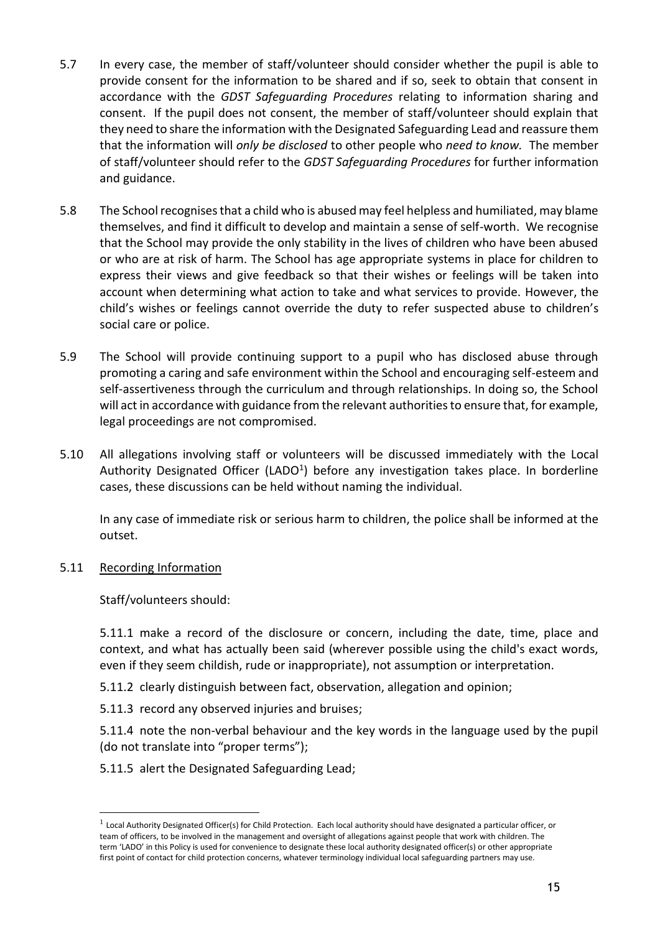- 5.7 In every case, the member of staff/volunteer should consider whether the pupil is able to provide consent for the information to be shared and if so, seek to obtain that consent in accordance with the *GDST Safeguarding Procedures* relating to information sharing and consent. If the pupil does not consent, the member of staff/volunteer should explain that they need to share the information with the Designated Safeguarding Lead and reassure them that the information will *only be disclosed* to other people who *need to know.* The member of staff/volunteer should refer to the *GDST Safeguarding Procedures* for further information and guidance.
- 5.8 The School recognises that a child who is abused may feel helpless and humiliated, may blame themselves, and find it difficult to develop and maintain a sense of self-worth. We recognise that the School may provide the only stability in the lives of children who have been abused or who are at risk of harm. The School has age appropriate systems in place for children to express their views and give feedback so that their wishes or feelings will be taken into account when determining what action to take and what services to provide. However, the child's wishes or feelings cannot override the duty to refer suspected abuse to children's social care or police.
- 5.9 The School will provide continuing support to a pupil who has disclosed abuse through promoting a caring and safe environment within the School and encouraging self-esteem and self-assertiveness through the curriculum and through relationships. In doing so, the School will act in accordance with guidance from the relevant authorities to ensure that, for example, legal proceedings are not compromised.
- 5.10 All allegations involving staff or volunteers will be discussed immediately with the Local Authority Designated Officer (LADO<sup>1</sup>) before any investigation takes place. In borderline cases, these discussions can be held without naming the individual.

In any case of immediate risk or serious harm to children, the police shall be informed at the outset.

#### 5.11 Recording Information

Staff/volunteers should:

5.11.1 make a record of the disclosure or concern, including the date, time, place and context, and what has actually been said (wherever possible using the child's exact words, even if they seem childish, rude or inappropriate), not assumption or interpretation.

5.11.2 clearly distinguish between fact, observation, allegation and opinion;

5.11.3 record any observed injuries and bruises;

5.11.4 note the non-verbal behaviour and the key words in the language used by the pupil (do not translate into "proper terms");

5.11.5 alert the Designated Safeguarding Lead;

<sup>&</sup>lt;sup>1</sup> Local Authority Designated Officer(s) for Child Protection. Each local authority should have designated a particular officer, or team of officers, to be involved in the management and oversight of allegations against people that work with children. The term 'LADO' in this Policy is used for convenience to designate these local authority designated officer(s) or other appropriate first point of contact for child protection concerns, whatever terminology individual local safeguarding partners may use.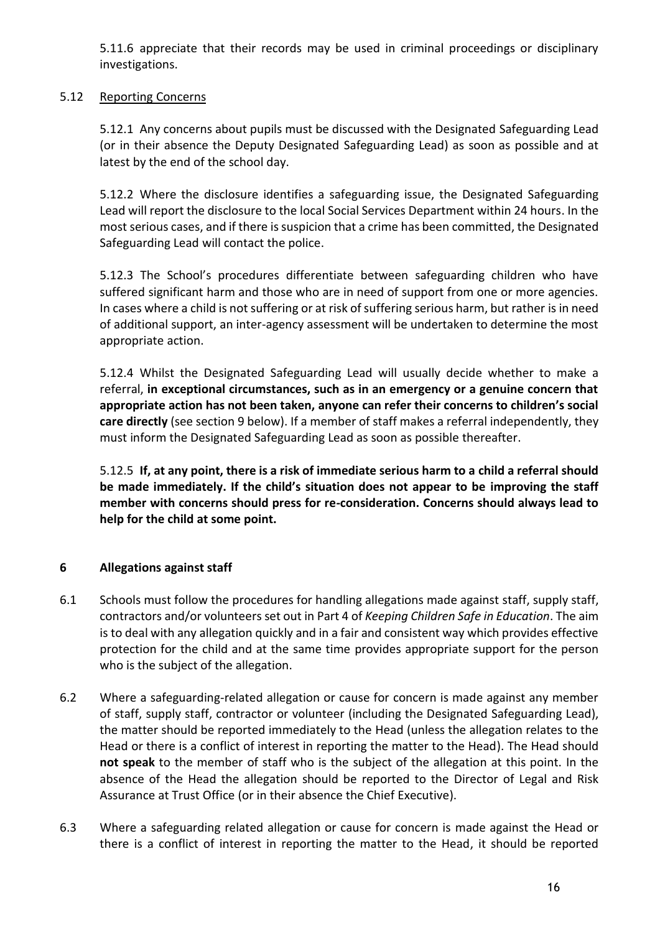5.11.6 appreciate that their records may be used in criminal proceedings or disciplinary investigations.

### 5.12 Reporting Concerns

5.12.1 Any concerns about pupils must be discussed with the Designated Safeguarding Lead (or in their absence the Deputy Designated Safeguarding Lead) as soon as possible and at latest by the end of the school day.

5.12.2 Where the disclosure identifies a safeguarding issue, the Designated Safeguarding Lead will report the disclosure to the local Social Services Department within 24 hours. In the most serious cases, and if there is suspicion that a crime has been committed, the Designated Safeguarding Lead will contact the police.

5.12.3 The School's procedures differentiate between safeguarding children who have suffered significant harm and those who are in need of support from one or more agencies. In cases where a child is not suffering or at risk of suffering serious harm, but rather is in need of additional support, an inter-agency assessment will be undertaken to determine the most appropriate action.

5.12.4 Whilst the Designated Safeguarding Lead will usually decide whether to make a referral, **in exceptional circumstances, such as in an emergency or a genuine concern that appropriate action has not been taken, anyone can refer their concerns to children's social care directly** (see section 9 below). If a member of staff makes a referral independently, they must inform the Designated Safeguarding Lead as soon as possible thereafter.

5.12.5 **If, at any point, there is a risk of immediate serious harm to a child a referral should be made immediately. If the child's situation does not appear to be improving the staff member with concerns should press for re-consideration. Concerns should always lead to help for the child at some point.**

# **6 Allegations against staff**

- 6.1 Schools must follow the procedures for handling allegations made against staff, supply staff, contractors and/or volunteers set out in Part 4 of *Keeping Children Safe in Education*. The aim is to deal with any allegation quickly and in a fair and consistent way which provides effective protection for the child and at the same time provides appropriate support for the person who is the subject of the allegation.
- 6.2 Where a safeguarding-related allegation or cause for concern is made against any member of staff, supply staff, contractor or volunteer (including the Designated Safeguarding Lead), the matter should be reported immediately to the Head (unless the allegation relates to the Head or there is a conflict of interest in reporting the matter to the Head). The Head should **not speak** to the member of staff who is the subject of the allegation at this point. In the absence of the Head the allegation should be reported to the Director of Legal and Risk Assurance at Trust Office (or in their absence the Chief Executive).
- 6.3 Where a safeguarding related allegation or cause for concern is made against the Head or there is a conflict of interest in reporting the matter to the Head, it should be reported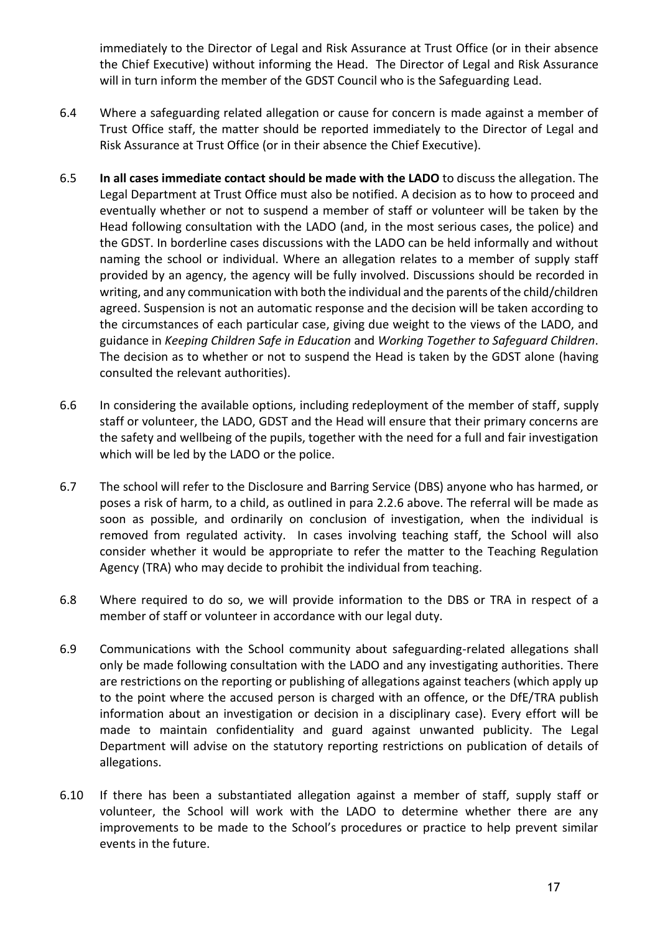immediately to the Director of Legal and Risk Assurance at Trust Office (or in their absence the Chief Executive) without informing the Head. The Director of Legal and Risk Assurance will in turn inform the member of the GDST Council who is the Safeguarding Lead.

- 6.4 Where a safeguarding related allegation or cause for concern is made against a member of Trust Office staff, the matter should be reported immediately to the Director of Legal and Risk Assurance at Trust Office (or in their absence the Chief Executive).
- 6.5 **In all cases immediate contact should be made with the LADO** to discuss the allegation. The Legal Department at Trust Office must also be notified. A decision as to how to proceed and eventually whether or not to suspend a member of staff or volunteer will be taken by the Head following consultation with the LADO (and, in the most serious cases, the police) and the GDST. In borderline cases discussions with the LADO can be held informally and without naming the school or individual. Where an allegation relates to a member of supply staff provided by an agency, the agency will be fully involved. Discussions should be recorded in writing, and any communication with both the individual and the parents of the child/children agreed. Suspension is not an automatic response and the decision will be taken according to the circumstances of each particular case, giving due weight to the views of the LADO, and guidance in *Keeping Children Safe in Education* and *Working Together to Safeguard Children*. The decision as to whether or not to suspend the Head is taken by the GDST alone (having consulted the relevant authorities).
- 6.6 In considering the available options, including redeployment of the member of staff, supply staff or volunteer, the LADO, GDST and the Head will ensure that their primary concerns are the safety and wellbeing of the pupils, together with the need for a full and fair investigation which will be led by the LADO or the police.
- 6.7 The school will refer to the Disclosure and Barring Service (DBS) anyone who has harmed, or poses a risk of harm, to a child, as outlined in para 2.2.6 above. The referral will be made as soon as possible, and ordinarily on conclusion of investigation, when the individual is removed from regulated activity. In cases involving teaching staff, the School will also consider whether it would be appropriate to refer the matter to the Teaching Regulation Agency (TRA) who may decide to prohibit the individual from teaching.
- 6.8 Where required to do so, we will provide information to the DBS or TRA in respect of a member of staff or volunteer in accordance with our legal duty.
- 6.9 Communications with the School community about safeguarding-related allegations shall only be made following consultation with the LADO and any investigating authorities. There are restrictions on the reporting or publishing of allegations against teachers (which apply up to the point where the accused person is charged with an offence, or the DfE/TRA publish information about an investigation or decision in a disciplinary case). Every effort will be made to maintain confidentiality and guard against unwanted publicity. The Legal Department will advise on the statutory reporting restrictions on publication of details of allegations.
- 6.10 If there has been a substantiated allegation against a member of staff, supply staff or volunteer, the School will work with the LADO to determine whether there are any improvements to be made to the School's procedures or practice to help prevent similar events in the future.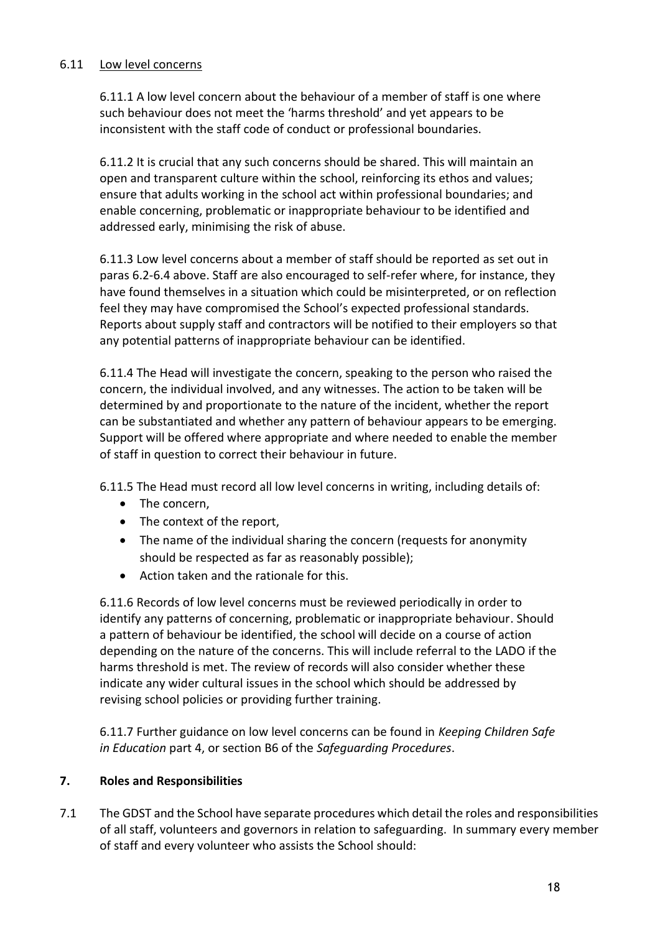### 6.11 Low level concerns

6.11.1 A low level concern about the behaviour of a member of staff is one where such behaviour does not meet the 'harms threshold' and yet appears to be inconsistent with the staff code of conduct or professional boundaries.

6.11.2 It is crucial that any such concerns should be shared. This will maintain an open and transparent culture within the school, reinforcing its ethos and values; ensure that adults working in the school act within professional boundaries; and enable concerning, problematic or inappropriate behaviour to be identified and addressed early, minimising the risk of abuse.

6.11.3 Low level concerns about a member of staff should be reported as set out in paras 6.2-6.4 above. Staff are also encouraged to self-refer where, for instance, they have found themselves in a situation which could be misinterpreted, or on reflection feel they may have compromised the School's expected professional standards. Reports about supply staff and contractors will be notified to their employers so that any potential patterns of inappropriate behaviour can be identified.

6.11.4 The Head will investigate the concern, speaking to the person who raised the concern, the individual involved, and any witnesses. The action to be taken will be determined by and proportionate to the nature of the incident, whether the report can be substantiated and whether any pattern of behaviour appears to be emerging. Support will be offered where appropriate and where needed to enable the member of staff in question to correct their behaviour in future.

6.11.5 The Head must record all low level concerns in writing, including details of:

- The concern,
- The context of the report,
- The name of the individual sharing the concern (requests for anonymity should be respected as far as reasonably possible);
- Action taken and the rationale for this.

6.11.6 Records of low level concerns must be reviewed periodically in order to identify any patterns of concerning, problematic or inappropriate behaviour. Should a pattern of behaviour be identified, the school will decide on a course of action depending on the nature of the concerns. This will include referral to the LADO if the harms threshold is met. The review of records will also consider whether these indicate any wider cultural issues in the school which should be addressed by revising school policies or providing further training.

6.11.7 Further guidance on low level concerns can be found in *Keeping Children Safe in Education* part 4, or section B6 of the *Safeguarding Procedures*.

# **7. Roles and Responsibilities**

7.1 The GDST and the School have separate procedures which detail the roles and responsibilities of all staff, volunteers and governors in relation to safeguarding. In summary every member of staff and every volunteer who assists the School should: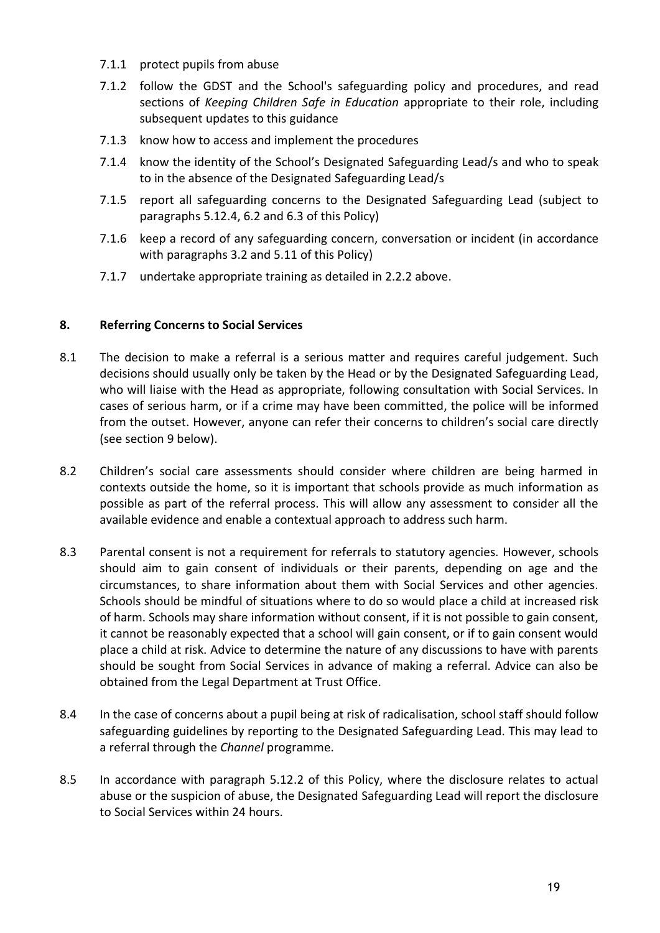- 7.1.1 protect pupils from abuse
- 7.1.2 follow the GDST and the School's safeguarding policy and procedures, and read sections of *Keeping Children Safe in Education* appropriate to their role, including subsequent updates to this guidance
- 7.1.3 know how to access and implement the procedures
- 7.1.4 know the identity of the School's Designated Safeguarding Lead/s and who to speak to in the absence of the Designated Safeguarding Lead/s
- 7.1.5 report all safeguarding concerns to the Designated Safeguarding Lead (subject to paragraphs 5.12.4, 6.2 and 6.3 of this Policy)
- 7.1.6 keep a record of any safeguarding concern, conversation or incident (in accordance with paragraphs 3.2 and 5.11 of this Policy)
- 7.1.7 undertake appropriate training as detailed in 2.2.2 above.

# **8. Referring Concerns to Social Services**

- 8.1 The decision to make a referral is a serious matter and requires careful judgement. Such decisions should usually only be taken by the Head or by the Designated Safeguarding Lead, who will liaise with the Head as appropriate, following consultation with Social Services. In cases of serious harm, or if a crime may have been committed, the police will be informed from the outset. However, anyone can refer their concerns to children's social care directly (see section 9 below).
- 8.2 Children's social care assessments should consider where children are being harmed in contexts outside the home, so it is important that schools provide as much information as possible as part of the referral process. This will allow any assessment to consider all the available evidence and enable a contextual approach to address such harm.
- 8.3 Parental consent is not a requirement for referrals to statutory agencies. However, schools should aim to gain consent of individuals or their parents, depending on age and the circumstances, to share information about them with Social Services and other agencies. Schools should be mindful of situations where to do so would place a child at increased risk of harm. Schools may share information without consent, if it is not possible to gain consent, it cannot be reasonably expected that a school will gain consent, or if to gain consent would place a child at risk. Advice to determine the nature of any discussions to have with parents should be sought from Social Services in advance of making a referral. Advice can also be obtained from the Legal Department at Trust Office.
- 8.4 In the case of concerns about a pupil being at risk of radicalisation, school staff should follow safeguarding guidelines by reporting to the Designated Safeguarding Lead. This may lead to a referral through the *Channel* programme.
- 8.5 In accordance with paragraph 5.12.2 of this Policy, where the disclosure relates to actual abuse or the suspicion of abuse, the Designated Safeguarding Lead will report the disclosure to Social Services within 24 hours.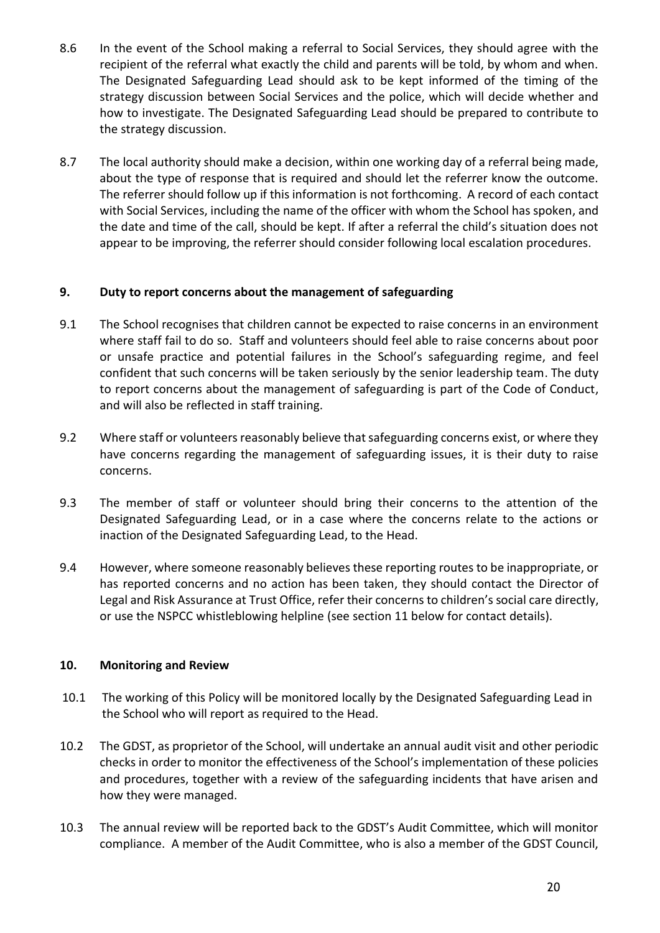- 8.6 In the event of the School making a referral to Social Services, they should agree with the recipient of the referral what exactly the child and parents will be told, by whom and when. The Designated Safeguarding Lead should ask to be kept informed of the timing of the strategy discussion between Social Services and the police, which will decide whether and how to investigate. The Designated Safeguarding Lead should be prepared to contribute to the strategy discussion.
- 8.7 The local authority should make a decision, within one working day of a referral being made, about the type of response that is required and should let the referrer know the outcome. The referrer should follow up if this information is not forthcoming. A record of each contact with Social Services, including the name of the officer with whom the School has spoken, and the date and time of the call, should be kept. If after a referral the child's situation does not appear to be improving, the referrer should consider following local escalation procedures.

# **9. Duty to report concerns about the management of safeguarding**

- 9.1 The School recognises that children cannot be expected to raise concerns in an environment where staff fail to do so. Staff and volunteers should feel able to raise concerns about poor or unsafe practice and potential failures in the School's safeguarding regime, and feel confident that such concerns will be taken seriously by the senior leadership team. The duty to report concerns about the management of safeguarding is part of the Code of Conduct, and will also be reflected in staff training.
- 9.2 Where staff or volunteers reasonably believe that safeguarding concerns exist, or where they have concerns regarding the management of safeguarding issues, it is their duty to raise concerns.
- 9.3 The member of staff or volunteer should bring their concerns to the attention of the Designated Safeguarding Lead, or in a case where the concerns relate to the actions or inaction of the Designated Safeguarding Lead, to the Head.
- 9.4 However, where someone reasonably believes these reporting routes to be inappropriate, or has reported concerns and no action has been taken, they should contact the Director of Legal and Risk Assurance at Trust Office, refer their concerns to children's social care directly, or use the NSPCC whistleblowing helpline (see section 11 below for contact details).

#### **10. Monitoring and Review**

- 10.1 The working of this Policy will be monitored locally by the Designated Safeguarding Lead in the School who will report as required to the Head.
- 10.2 The GDST, as proprietor of the School, will undertake an annual audit visit and other periodic checks in order to monitor the effectiveness of the School's implementation of these policies and procedures, together with a review of the safeguarding incidents that have arisen and how they were managed.
- 10.3 The annual review will be reported back to the GDST's Audit Committee, which will monitor compliance. A member of the Audit Committee, who is also a member of the GDST Council,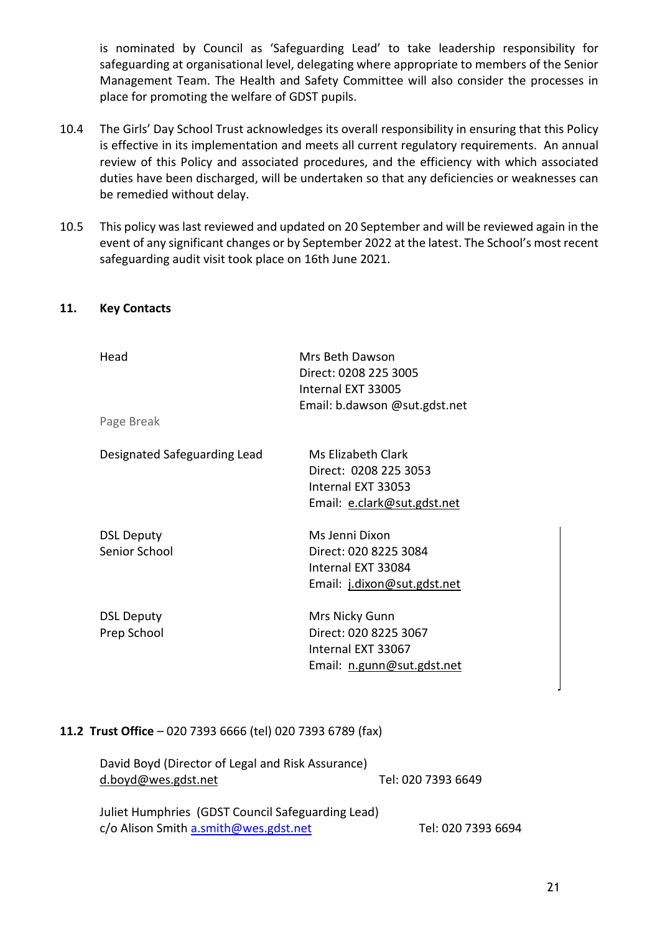is nominated by Council as 'Safeguarding Lead' to take leadership responsibility for safeguarding at organisational level, delegating where appropriate to members of the Senior Management Team. The Health and Safety Committee will also consider the processes in place for promoting the welfare of GDST pupils.

- 10.4 The Girls' Day School Trust acknowledges its overall responsibility in ensuring that this Policy is effective in its implementation and meets all current regulatory requirements. An annual review of this Policy and associated procedures, and the efficiency with which associated duties have been discharged, will be undertaken so that any deficiencies or weaknesses can be remedied without delay.
- 10.5 This policy was last reviewed and updated on 20 September and will be reviewed again in the event of any significant changes or by September 2022 at the latest. The School's most recent safeguarding audit visit took place on 16th June 2021.

#### **11. Key Contacts**

| Head<br>Page Break                 | Mrs Beth Dawson<br>Direct: 0208 225 3005<br>Internal EXT 33005<br>Email: b.dawson @sut.gdst.net  |
|------------------------------------|--------------------------------------------------------------------------------------------------|
| Designated Safeguarding Lead       | Ms Elizabeth Clark<br>Direct: 0208 225 3053<br>Internal EXT 33053<br>Email: e.clark@sut.gdst.net |
| <b>DSL Deputy</b><br>Senior School | Ms Jenni Dixon<br>Direct: 020 8225 3084<br>Internal EXT 33084<br>Email: j.dixon@sut.gdst.net     |
| <b>DSL Deputy</b><br>Prep School   | Mrs Nicky Gunn<br>Direct: 020 8225 3067<br>Internal EXT 33067<br>Email: n.gunn@sut.gdst.net      |

# **11.2 Trust Office** – 020 7393 6666 (tel) 020 7393 6789 (fax)

| David Boyd (Director of Legal and Risk Assurance) |                    |
|---------------------------------------------------|--------------------|
| d.boyd@wes.gdst.net                               | Tel: 020 7393 6649 |

Juliet Humphries (GDST Council Safeguarding Lead) c/o Alison Smith [a.smith@wes.gdst.net](mailto:a.smith@wes.gdst.net) Tel: 020 7393 6694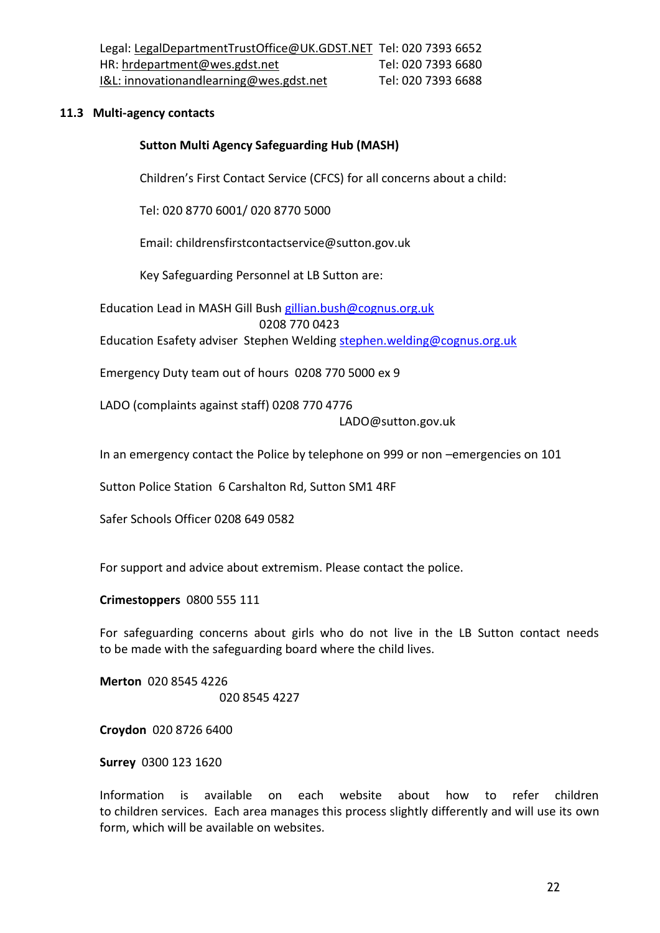Legal: [LegalDepartmentTrustOffice@UK.GDST.NET](mailto:LegalDepartmentTrustOffice@UK.GDST.NET) Tel: 020 7393 6652 HR: [hrdepartment@wes.gdst.net](mailto:hrdepartment@wes.gdst.net) Tel: 020 7393 6680 I&L: [innovationandlearning@wes.gdst.net](mailto:innovationandlearning@wes.gdst.net) Tel: 020 7393 6688

#### **11.3 Multi-agency contacts**

#### **Sutton Multi Agency Safeguarding Hub (MASH)**

Children's First Contact Service (CFCS) for all concerns about a child:

Tel: 020 8770 6001/ 020 8770 5000

Email: childrensfirstcontactservice@sutton.gov.uk

Key Safeguarding Personnel at LB Sutton are:

Education Lead in MASH Gill Bush [gillian.bush@cognus.org.uk](mailto:gillian.bush@cognus.org.uk) 0208 770 0423 Education Esafety adviser Stephen Welding [stephen.welding@cognus.org.uk](mailto:stephen.welding@cognus.org.uk)

Emergency Duty team out of hours 0208 770 5000 ex 9

LADO (complaints against staff) 0208 770 4776

LADO@sutton.gov.uk

In an emergency contact the Police by telephone on 999 or non –emergencies on 101

Sutton Police Station 6 Carshalton Rd, Sutton SM1 4RF

Safer Schools Officer 0208 649 0582

For support and advice about extremism. Please contact the police.

**Crimestoppers** 0800 555 111

For safeguarding concerns about girls who do not live in the LB Sutton contact needs to be made with the safeguarding board where the child lives.

**Merton** 020 8545 4226 020 8545 4227

**Croydon** 020 8726 6400

**Surrey** 0300 123 1620

Information is available on each website about how to refer children to children services. Each area manages this process slightly differently and will use its own form, which will be available on websites.